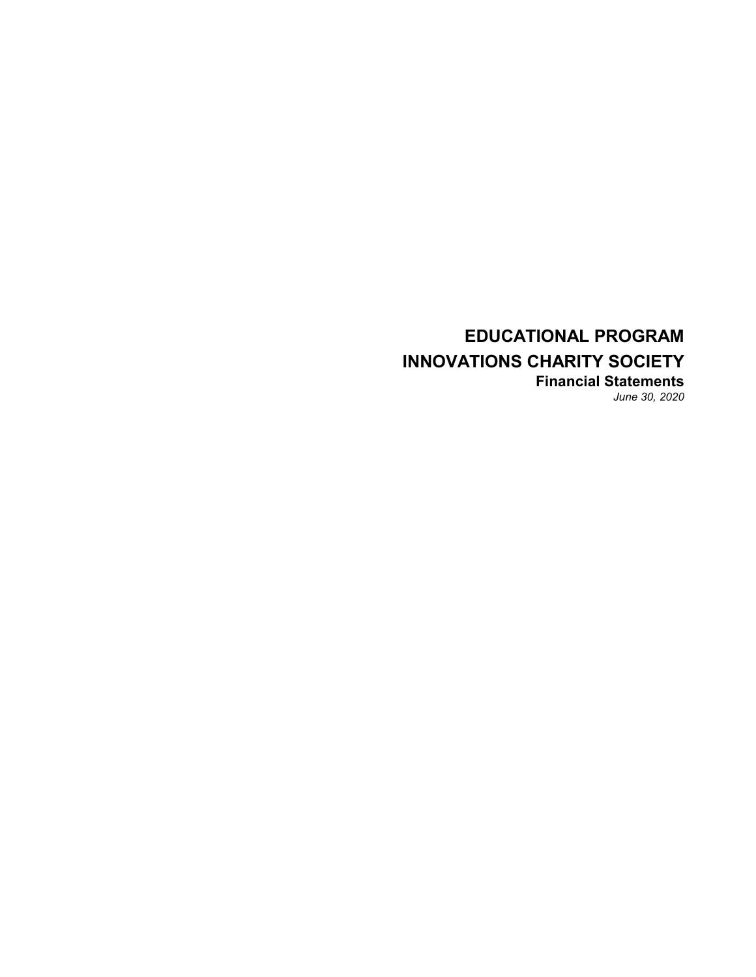## **EDUCATIONAL PROGRAM INNOVATIONS CHARITY SOCIETY Financial Statements** *June 30, 2020*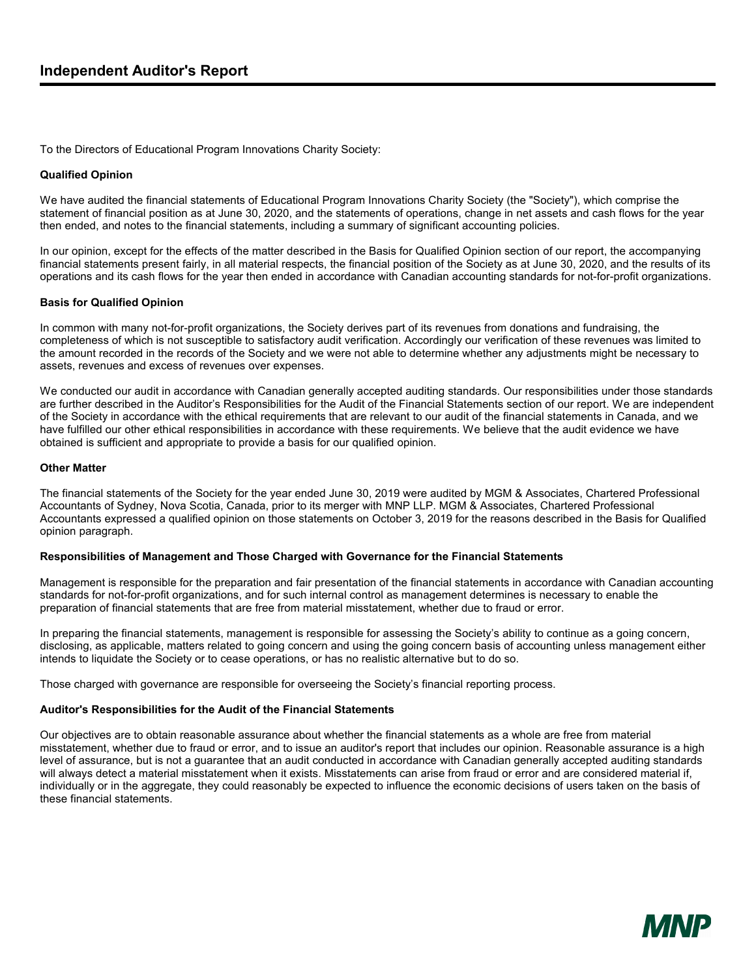To the Directors of Educational Program Innovations Charity Society:

#### **Qualified Opinion**

We have audited the financial statements of Educational Program Innovations Charity Society (the "Society"), which comprise the statement of financial position as at June 30, 2020, and the statements of operations, change in net assets and cash flows for the year then ended, and notes to the financial statements, including a summary of significant accounting policies.

In our opinion, except for the effects of the matter described in the Basis for Qualified Opinion section of our report, the accompanying financial statements present fairly, in all material respects, the financial position of the Society as at June 30, 2020, and the results of its operations and its cash flows for the year then ended in accordance with Canadian accounting standards for not-for-profit organizations.

#### **Basis for Qualified Opinion**

In common with many not-for-profit organizations, the Society derives part of its revenues from donations and fundraising, the completeness of which is not susceptible to satisfactory audit verification. Accordingly our verification of these revenues was limited to the amount recorded in the records of the Society and we were not able to determine whether any adjustments might be necessary to assets, revenues and excess of revenues over expenses.

We conducted our audit in accordance with Canadian generally accepted auditing standards. Our responsibilities under those standards are further described in the Auditor's Responsibilities for the Audit of the Financial Statements section of our report. We are independent of the Society in accordance with the ethical requirements that are relevant to our audit of the financial statements in Canada, and we have fulfilled our other ethical responsibilities in accordance with these requirements. We believe that the audit evidence we have obtained is sufficient and appropriate to provide a basis for our qualified opinion.

#### **Other Matter**

The financial statements of the Society for the year ended June 30, 2019 were audited by MGM & Associates, Chartered Professional Accountants of Sydney, Nova Scotia, Canada, prior to its merger with MNP LLP. MGM & Associates, Chartered Professional Accountants expressed a qualified opinion on those statements on October 3, 2019 for the reasons described in the Basis for Qualified opinion paragraph.

#### **Responsibilities of Management and Those Charged with Governance for the Financial Statements**

Management is responsible for the preparation and fair presentation of the financial statements in accordance with Canadian accounting standards for not-for-profit organizations, and for such internal control as management determines is necessary to enable the preparation of financial statements that are free from material misstatement, whether due to fraud or error.

In preparing the financial statements, management is responsible for assessing the Society's ability to continue as a going concern, disclosing, as applicable, matters related to going concern and using the going concern basis of accounting unless management either intends to liquidate the Society or to cease operations, or has no realistic alternative but to do so.

Those charged with governance are responsible for overseeing the Society's financial reporting process.

#### **Auditor's Responsibilities for the Audit of the Financial Statements**

Our objectives are to obtain reasonable assurance about whether the financial statements as a whole are free from material misstatement, whether due to fraud or error, and to issue an auditor's report that includes our opinion. Reasonable assurance is a high level of assurance, but is not a guarantee that an audit conducted in accordance with Canadian generally accepted auditing standards will always detect a material misstatement when it exists. Misstatements can arise from fraud or error and are considered material if, individually or in the aggregate, they could reasonably be expected to influence the economic decisions of users taken on the basis of these financial statements.

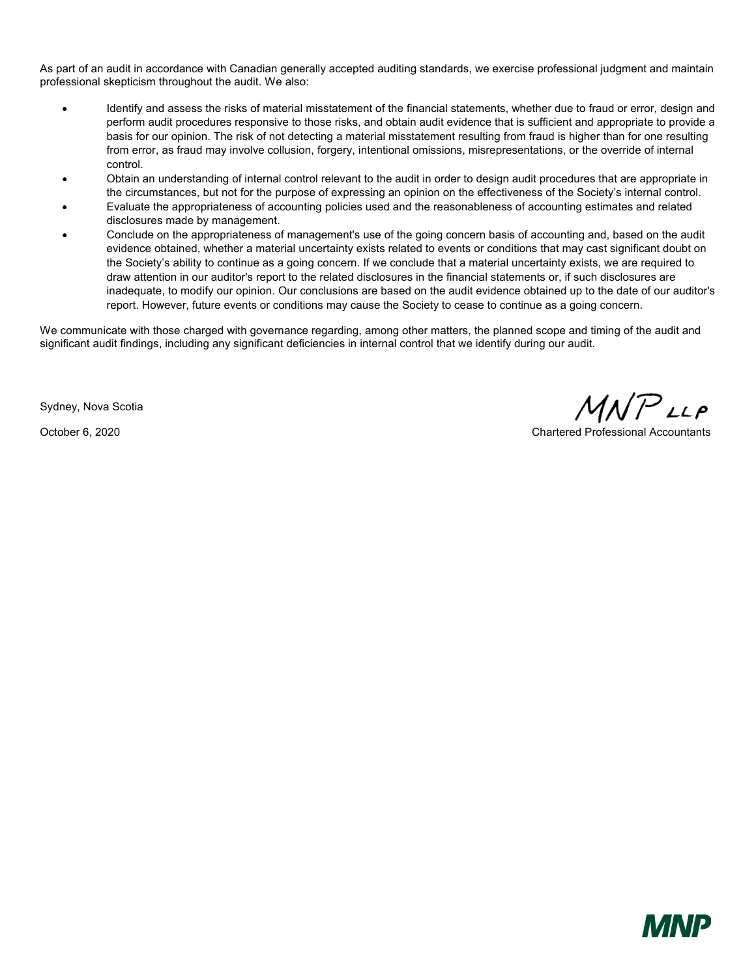As part of an audit in accordance with Canadian generally accepted auditing standards, we exercise professional judgment and maintain professional skepticism throughout the audit. We also:

- Identify and assess the risks of material misstatement of the financial statements, whether due to fraud or error, design and perform audit procedures responsive to those risks, and obtain audit evidence that is sufficient and appropriate to provide a basis for our opinion. The risk of not detecting a material misstatement resulting from fraud is higher than for one resulting from error, as fraud may involve collusion, forgery, intentional omissions, misrepresentations, or the override of internal control.
- Obtain an understanding of internal control relevant to the audit in order to design audit procedures that are appropriate in the circumstances, but not for the purpose of expressing an opinion on the effectiveness of the Society's internal control.
- Evaluate the appropriateness of accounting policies used and the reasonableness of accounting estimates and related disclosures made by management.
- Conclude on the appropriateness of management's use of the going concern basis of accounting and, based on the audit evidence obtained, whether a material uncertainty exists related to events or conditions that may cast significant doubt on the Society's ability to continue as a going concern. If we conclude that a material uncertainty exists, we are required to draw attention in our auditor's report to the related disclosures in the financial statements or, if such disclosures are inadequate, to modify our opinion. Our conclusions are based on the audit evidence obtained up to the date of our auditor's report. However, future events or conditions may cause the Society to cease to continue as a going concern.

We communicate with those charged with governance regarding, among other matters, the planned scope and timing of the audit and significant audit findings, including any significant deficiencies in internal control that we identify during our audit.

Sydney, Nova Scotia

 $MNP$ LLP

October 6, 2020 Chartered Professional Accountants

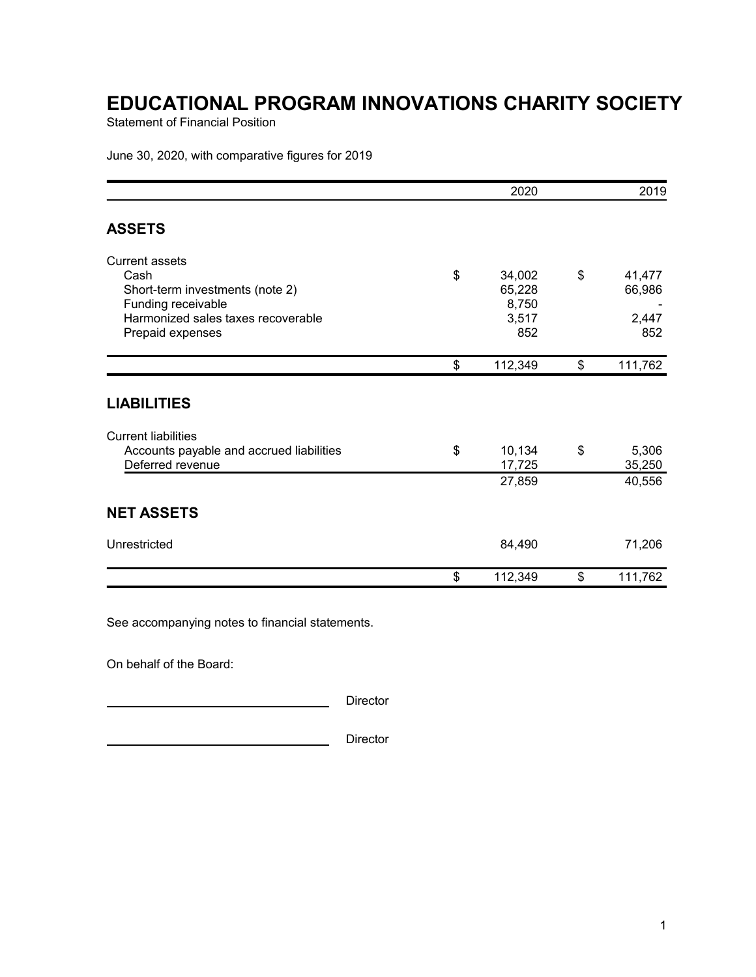Statement of Financial Position

June 30, 2020, with comparative figures for 2019

|                                                                                                                                                  |    | 2019                                      |                                        |
|--------------------------------------------------------------------------------------------------------------------------------------------------|----|-------------------------------------------|----------------------------------------|
| <b>ASSETS</b>                                                                                                                                    |    |                                           |                                        |
| <b>Current assets</b><br>Cash<br>Short-term investments (note 2)<br>Funding receivable<br>Harmonized sales taxes recoverable<br>Prepaid expenses | \$ | 34,002<br>65,228<br>8,750<br>3,517<br>852 | \$<br>41,477<br>66,986<br>2,447<br>852 |
|                                                                                                                                                  | \$ | 112,349                                   | \$<br>111,762                          |
| <b>LIABILITIES</b>                                                                                                                               |    |                                           |                                        |
| <b>Current liabilities</b><br>Accounts payable and accrued liabilities<br>Deferred revenue                                                       | \$ | 10,134<br>17,725<br>27,859                | \$<br>5,306<br>35,250<br>40,556        |
| <b>NET ASSETS</b>                                                                                                                                |    |                                           |                                        |
| Unrestricted                                                                                                                                     |    | 84,490                                    | 71,206                                 |
|                                                                                                                                                  | \$ | 112,349                                   | \$<br>111,762                          |

See accompanying notes to financial statements.

On behalf of the Board:

**Director** Director

**Director** Director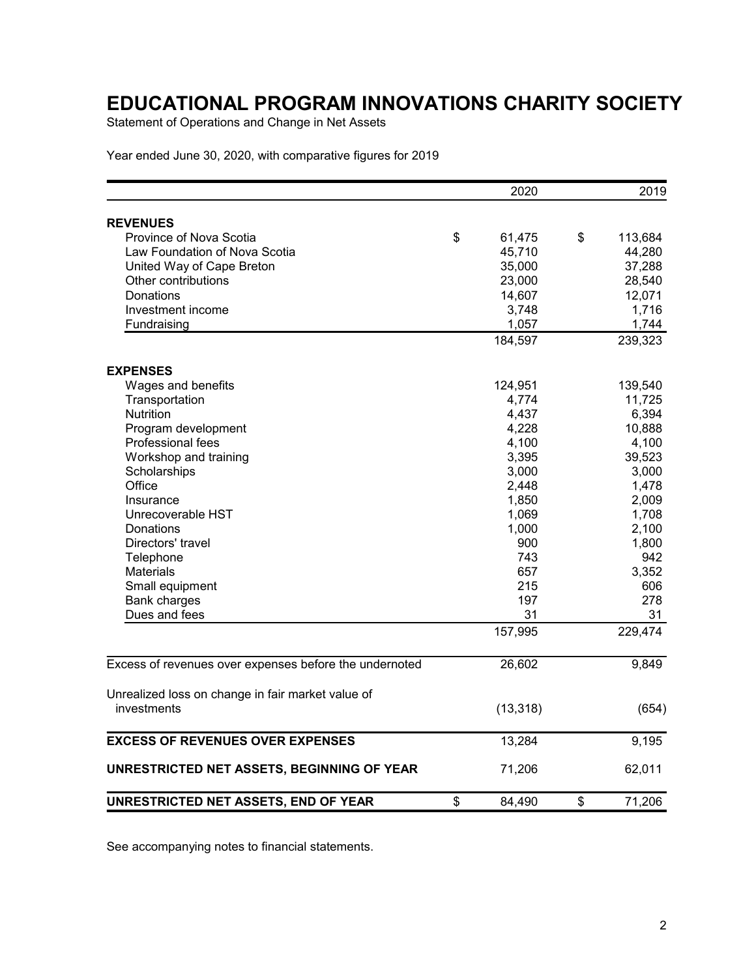Statement of Operations and Change in Net Assets

Year ended June 30, 2020, with comparative figures for 2019

|                                                        | 2020         | 2019          |
|--------------------------------------------------------|--------------|---------------|
| <b>REVENUES</b>                                        |              |               |
| Province of Nova Scotia                                | \$<br>61,475 | \$<br>113,684 |
| Law Foundation of Nova Scotia                          | 45,710       | 44,280        |
| United Way of Cape Breton                              | 35,000       | 37,288        |
| Other contributions                                    | 23,000       | 28,540        |
| Donations                                              | 14,607       | 12,071        |
| Investment income                                      | 3,748        | 1,716         |
| Fundraising                                            | 1,057        | 1,744         |
|                                                        | 184,597      | 239,323       |
| <b>EXPENSES</b>                                        |              |               |
| Wages and benefits                                     | 124,951      | 139,540       |
| Transportation                                         | 4,774        | 11,725        |
| Nutrition                                              | 4,437        | 6,394         |
| Program development                                    | 4,228        | 10,888        |
| Professional fees                                      | 4,100        | 4,100         |
| Workshop and training                                  | 3,395        | 39,523        |
| Scholarships                                           | 3,000        | 3,000         |
| Office                                                 | 2,448        | 1,478         |
| Insurance                                              | 1,850        | 2,009         |
| Unrecoverable HST                                      | 1,069        | 1,708         |
| Donations                                              | 1,000        | 2,100         |
| Directors' travel                                      | 900          | 1,800         |
| Telephone                                              | 743          | 942           |
| <b>Materials</b>                                       | 657          | 3,352         |
| Small equipment                                        | 215          | 606           |
| <b>Bank charges</b>                                    | 197          | 278           |
| Dues and fees                                          | 31           | 31            |
|                                                        | 157,995      | 229,474       |
| Excess of revenues over expenses before the undernoted | 26,602       | 9,849         |
| Unrealized loss on change in fair market value of      |              |               |
| investments                                            | (13, 318)    | (654)         |
| <b>EXCESS OF REVENUES OVER EXPENSES</b>                | 13,284       | 9,195         |
| UNRESTRICTED NET ASSETS, BEGINNING OF YEAR             | 71,206       | 62,011        |
|                                                        |              |               |
| UNRESTRICTED NET ASSETS, END OF YEAR                   | \$<br>84,490 | \$<br>71,206  |

See accompanying notes to financial statements.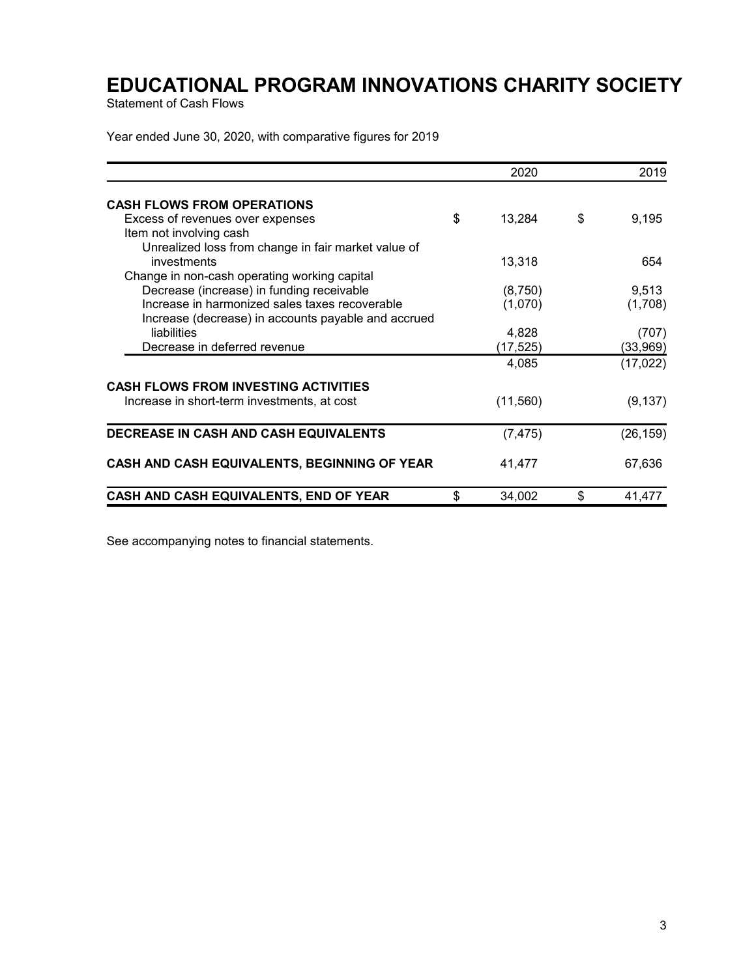Statement of Cash Flows

Year ended June 30, 2020, with comparative figures for 2019

|                                                     | 2020         | 2019         |  |
|-----------------------------------------------------|--------------|--------------|--|
| <b>CASH FLOWS FROM OPERATIONS</b>                   |              |              |  |
| Excess of revenues over expenses                    | \$<br>13,284 | \$<br>9,195  |  |
| Item not involving cash                             |              |              |  |
| Unrealized loss from change in fair market value of |              |              |  |
| investments                                         | 13,318       | 654          |  |
| Change in non-cash operating working capital        |              |              |  |
| Decrease (increase) in funding receivable           | (8,750)      | 9,513        |  |
| Increase in harmonized sales taxes recoverable      | (1,070)      | (1,708)      |  |
| Increase (decrease) in accounts payable and accrued |              |              |  |
| liabilities                                         | 4,828        | (707)        |  |
| Decrease in deferred revenue                        | (17, 525)    | (33,969)     |  |
|                                                     | 4,085        | (17, 022)    |  |
| <b>CASH FLOWS FROM INVESTING ACTIVITIES</b>         |              |              |  |
| Increase in short-term investments, at cost         | (11, 560)    | (9, 137)     |  |
| DECREASE IN CASH AND CASH EQUIVALENTS               | (7, 475)     | (26, 159)    |  |
| CASH AND CASH EQUIVALENTS, BEGINNING OF YEAR        | 41,477       | 67,636       |  |
| CASH AND CASH EQUIVALENTS, END OF YEAR              | \$<br>34,002 | \$<br>41,477 |  |

See accompanying notes to financial statements.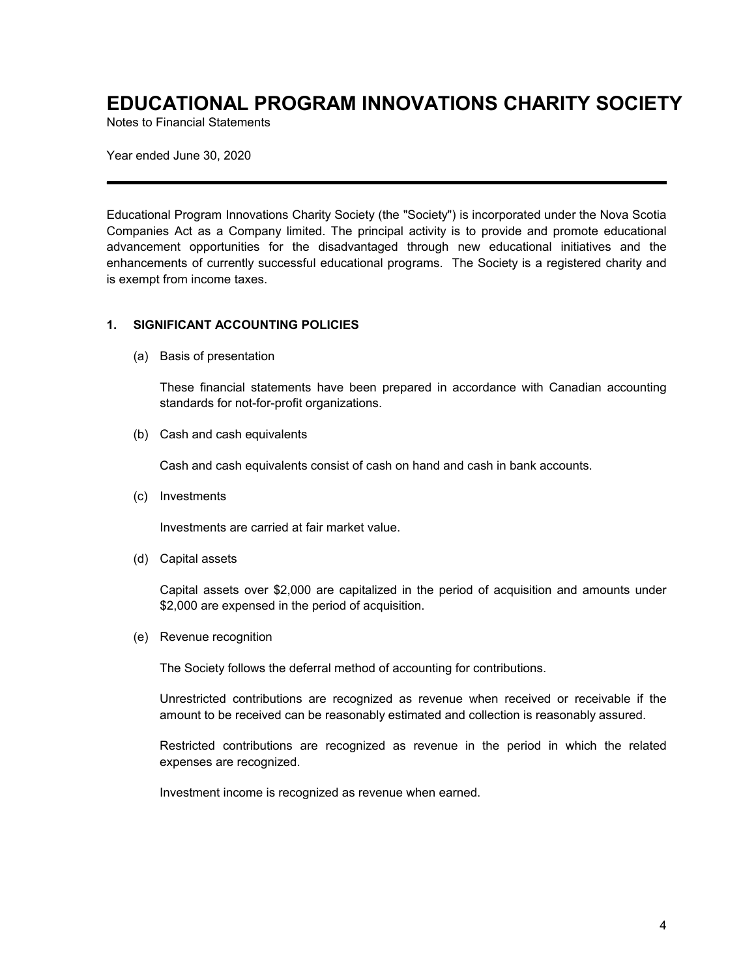Notes to Financial Statements

Year ended June 30, 2020

Educational Program Innovations Charity Society (the "Society") is incorporated under the Nova Scotia Companies Act as a Company limited. The principal activity is to provide and promote educational advancement opportunities for the disadvantaged through new educational initiatives and the enhancements of currently successful educational programs. The Society is a registered charity and is exempt from income taxes.

### **1. SIGNIFICANT ACCOUNTING POLICIES**

(a) Basis of presentation

These financial statements have been prepared in accordance with Canadian accounting standards for not-for-profit organizations.

(b) Cash and cash equivalents

Cash and cash equivalents consist of cash on hand and cash in bank accounts.

(c) Investments

Investments are carried at fair market value.

(d) Capital assets

Capital assets over \$2,000 are capitalized in the period of acquisition and amounts under \$2,000 are expensed in the period of acquisition.

(e) Revenue recognition

The Society follows the deferral method of accounting for contributions.

Unrestricted contributions are recognized as revenue when received or receivable if the amount to be received can be reasonably estimated and collection is reasonably assured.

Restricted contributions are recognized as revenue in the period in which the related expenses are recognized.

Investment income is recognized as revenue when earned.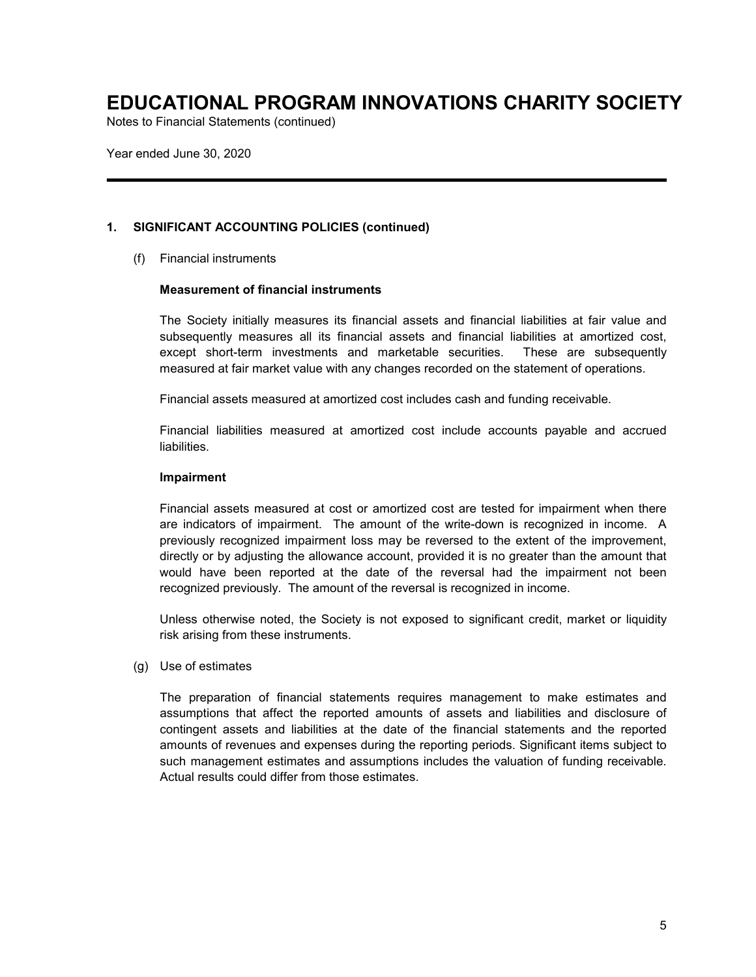Notes to Financial Statements (continued)

Year ended June 30, 2020

### **1. SIGNIFICANT ACCOUNTING POLICIES (continued)**

(f) Financial instruments

### **Measurement of financial instruments**

The Society initially measures its financial assets and financial liabilities at fair value and subsequently measures all its financial assets and financial liabilities at amortized cost, except short-term investments and marketable securities. These are subsequently measured at fair market value with any changes recorded on the statement of operations.

Financial assets measured at amortized cost includes cash and funding receivable.

Financial liabilities measured at amortized cost include accounts payable and accrued liabilities.

### **Impairment**

Financial assets measured at cost or amortized cost are tested for impairment when there are indicators of impairment. The amount of the write-down is recognized in income. A previously recognized impairment loss may be reversed to the extent of the improvement, directly or by adjusting the allowance account, provided it is no greater than the amount that would have been reported at the date of the reversal had the impairment not been recognized previously. The amount of the reversal is recognized in income.

Unless otherwise noted, the Society is not exposed to significant credit, market or liquidity risk arising from these instruments.

(g) Use of estimates

The preparation of financial statements requires management to make estimates and assumptions that affect the reported amounts of assets and liabilities and disclosure of contingent assets and liabilities at the date of the financial statements and the reported amounts of revenues and expenses during the reporting periods. Significant items subject to such management estimates and assumptions includes the valuation of funding receivable. Actual results could differ from those estimates.